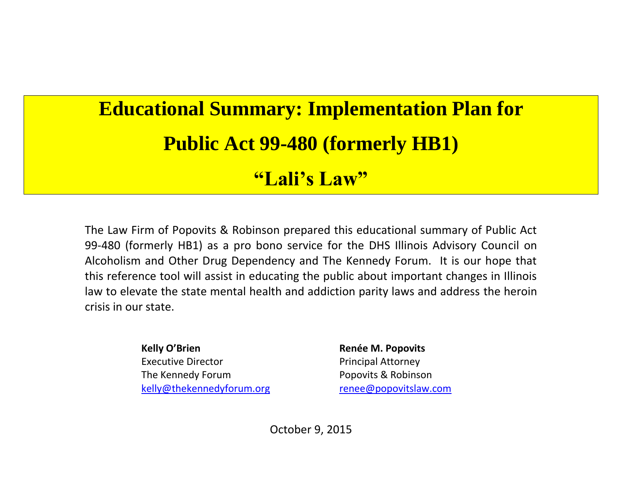## **Educational Summary: Implementation Plan for Public Act 99-480 (formerly HB1)**

## **"Lali's Law"**

The Law Firm of Popovits & Robinson prepared this educational summary of Public Act 99-480 (formerly HB1) as a pro bono service for the DHS Illinois Advisory Council on Alcoholism and Other Drug Dependency and The Kennedy Forum. It is our hope that this reference tool will assist in educating the public about important changes in Illinois law to elevate the state mental health and addiction parity laws and address the heroin crisis in our state.

> **Kelly O'Brien Renée M. Popovits** Executive Director **Principal Attorney** The Kennedy Forum **Popovits & Robinson** [kelly@thekennedyforum.org](mailto:kelly@thekennedyforum.org) [renee@popovitslaw.com](mailto:renee@popovitslaw.com)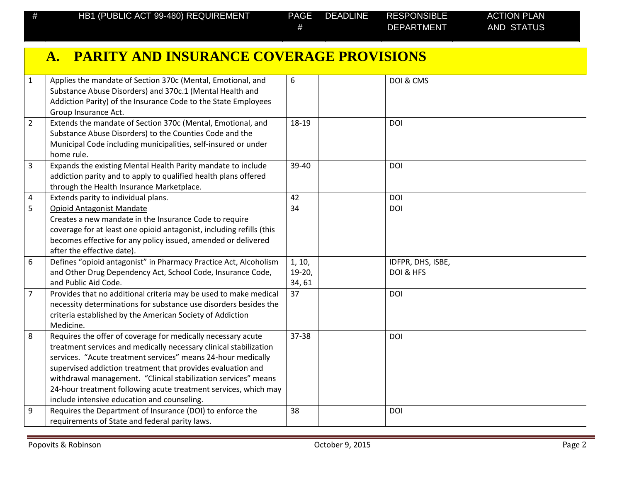|                | A. PARITY AND INSURANCE COVERAGE PROVISIONS                                                                                                                                                                                                                                                                                                                                                                                                          |                             |                                |  |
|----------------|------------------------------------------------------------------------------------------------------------------------------------------------------------------------------------------------------------------------------------------------------------------------------------------------------------------------------------------------------------------------------------------------------------------------------------------------------|-----------------------------|--------------------------------|--|
| $\mathbf{1}$   | Applies the mandate of Section 370c (Mental, Emotional, and<br>Substance Abuse Disorders) and 370c.1 (Mental Health and<br>Addiction Parity) of the Insurance Code to the State Employees<br>Group Insurance Act.                                                                                                                                                                                                                                    | 6                           | DOI & CMS                      |  |
| $\overline{2}$ | Extends the mandate of Section 370c (Mental, Emotional, and<br>Substance Abuse Disorders) to the Counties Code and the<br>Municipal Code including municipalities, self-insured or under<br>home rule.                                                                                                                                                                                                                                               | 18-19                       | <b>DOI</b>                     |  |
| $\overline{3}$ | Expands the existing Mental Health Parity mandate to include<br>addiction parity and to apply to qualified health plans offered<br>through the Health Insurance Marketplace.                                                                                                                                                                                                                                                                         | 39-40                       | DOI                            |  |
| $\pmb{4}$      | Extends parity to individual plans.                                                                                                                                                                                                                                                                                                                                                                                                                  | 42                          | <b>DOI</b>                     |  |
| 5              | <b>Opioid Antagonist Mandate</b><br>Creates a new mandate in the Insurance Code to require<br>coverage for at least one opioid antagonist, including refills (this<br>becomes effective for any policy issued, amended or delivered<br>after the effective date).                                                                                                                                                                                    | 34                          | <b>DOI</b>                     |  |
| 6              | Defines "opioid antagonist" in Pharmacy Practice Act, Alcoholism<br>and Other Drug Dependency Act, School Code, Insurance Code,<br>and Public Aid Code.                                                                                                                                                                                                                                                                                              | 1, 10,<br>$19-20,$<br>34,61 | IDFPR, DHS, ISBE,<br>DOI & HFS |  |
| $\overline{7}$ | Provides that no additional criteria may be used to make medical<br>necessity determinations for substance use disorders besides the<br>criteria established by the American Society of Addiction<br>Medicine.                                                                                                                                                                                                                                       | 37                          | <b>DOI</b>                     |  |
| 8              | Requires the offer of coverage for medically necessary acute<br>treatment services and medically necessary clinical stabilization<br>services. "Acute treatment services" means 24-hour medically<br>supervised addiction treatment that provides evaluation and<br>withdrawal management. "Clinical stabilization services" means<br>24-hour treatment following acute treatment services, which may<br>include intensive education and counseling. | 37-38                       | <b>DOI</b>                     |  |
| 9              | Requires the Department of Insurance (DOI) to enforce the<br>requirements of State and federal parity laws.                                                                                                                                                                                                                                                                                                                                          | 38                          | <b>DOI</b>                     |  |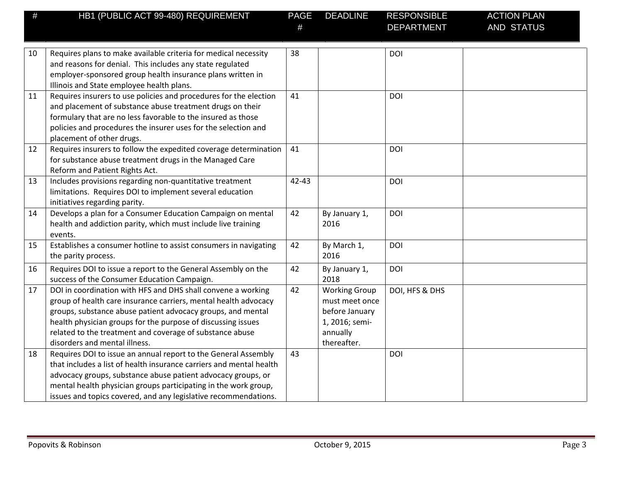| #  | HB1 (PUBLIC ACT 99-480) REQUIREMENT                                 | <b>PAGE</b> | <b>DEADLINE</b>      | <b>RESPONSIBLE</b> | <b>ACTION PLAN</b> |
|----|---------------------------------------------------------------------|-------------|----------------------|--------------------|--------------------|
|    |                                                                     |             |                      | <b>DEPARTMENT</b>  | AND STATUS         |
|    |                                                                     |             |                      |                    |                    |
| 10 | Requires plans to make available criteria for medical necessity     | 38          |                      | DOI                |                    |
|    | and reasons for denial. This includes any state regulated           |             |                      |                    |                    |
|    | employer-sponsored group health insurance plans written in          |             |                      |                    |                    |
|    | Illinois and State employee health plans.                           |             |                      |                    |                    |
| 11 | Requires insurers to use policies and procedures for the election   | 41          |                      | DOI                |                    |
|    | and placement of substance abuse treatment drugs on their           |             |                      |                    |                    |
|    | formulary that are no less favorable to the insured as those        |             |                      |                    |                    |
|    | policies and procedures the insurer uses for the selection and      |             |                      |                    |                    |
|    | placement of other drugs.                                           |             |                      |                    |                    |
| 12 | Requires insurers to follow the expedited coverage determination    | 41          |                      | <b>DOI</b>         |                    |
|    | for substance abuse treatment drugs in the Managed Care             |             |                      |                    |                    |
|    | Reform and Patient Rights Act.                                      |             |                      |                    |                    |
| 13 | Includes provisions regarding non-quantitative treatment            | $42 - 43$   |                      | <b>DOI</b>         |                    |
|    | limitations. Requires DOI to implement several education            |             |                      |                    |                    |
|    | initiatives regarding parity.                                       |             |                      |                    |                    |
| 14 | Develops a plan for a Consumer Education Campaign on mental         | 42          | By January 1,        | <b>DOI</b>         |                    |
|    | health and addiction parity, which must include live training       |             | 2016                 |                    |                    |
|    | events.                                                             |             |                      |                    |                    |
| 15 | Establishes a consumer hotline to assist consumers in navigating    | 42          | By March 1,          | <b>DOI</b>         |                    |
|    | the parity process.                                                 |             | 2016                 |                    |                    |
| 16 | Requires DOI to issue a report to the General Assembly on the       | 42          | By January 1,        | <b>DOI</b>         |                    |
|    | success of the Consumer Education Campaign.                         |             | 2018                 |                    |                    |
| 17 | DOI in coordination with HFS and DHS shall convene a working        | 42          | <b>Working Group</b> | DOI, HFS & DHS     |                    |
|    | group of health care insurance carriers, mental health advocacy     |             | must meet once       |                    |                    |
|    | groups, substance abuse patient advocacy groups, and mental         |             | before January       |                    |                    |
|    | health physician groups for the purpose of discussing issues        |             | 1, 2016; semi-       |                    |                    |
|    | related to the treatment and coverage of substance abuse            |             | annually             |                    |                    |
|    | disorders and mental illness.                                       |             | thereafter.          |                    |                    |
| 18 | Requires DOI to issue an annual report to the General Assembly      | 43          |                      | DOI                |                    |
|    | that includes a list of health insurance carriers and mental health |             |                      |                    |                    |
|    | advocacy groups, substance abuse patient advocacy groups, or        |             |                      |                    |                    |
|    | mental health physician groups participating in the work group,     |             |                      |                    |                    |
|    | issues and topics covered, and any legislative recommendations.     |             |                      |                    |                    |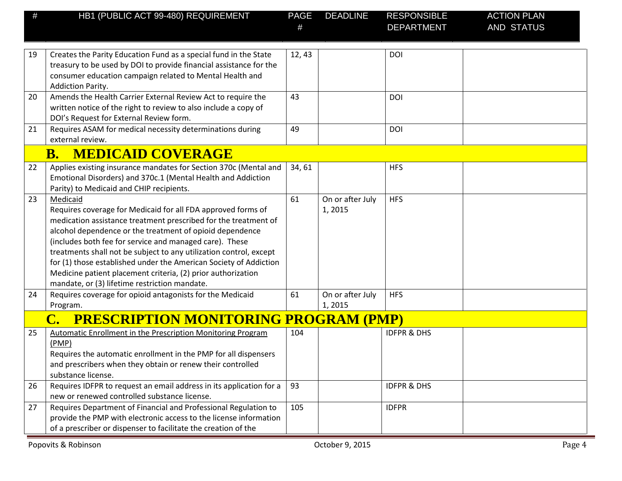| #  | HB1 (PUBLIC ACT 99-480) REQUIREMENT                                                                                                                                                                                                                                                                                                                                                                                                                                                                                            | <b>PAGE</b> | <b>DEADLINE</b>            | <b>RESPONSIBLE</b><br><b>DEPARTMENT</b> | <b>ACTION PLAN</b><br>AND STATUS |
|----|--------------------------------------------------------------------------------------------------------------------------------------------------------------------------------------------------------------------------------------------------------------------------------------------------------------------------------------------------------------------------------------------------------------------------------------------------------------------------------------------------------------------------------|-------------|----------------------------|-----------------------------------------|----------------------------------|
| 19 | Creates the Parity Education Fund as a special fund in the State<br>treasury to be used by DOI to provide financial assistance for the<br>consumer education campaign related to Mental Health and<br>Addiction Parity.                                                                                                                                                                                                                                                                                                        | 12,43       |                            | DOI                                     |                                  |
| 20 | Amends the Health Carrier External Review Act to require the<br>written notice of the right to review to also include a copy of<br>DOI's Request for External Review form.                                                                                                                                                                                                                                                                                                                                                     | 43          |                            | DOI                                     |                                  |
| 21 | Requires ASAM for medical necessity determinations during<br>external review.                                                                                                                                                                                                                                                                                                                                                                                                                                                  | 49          |                            | DOI                                     |                                  |
|    | <b>MEDICAID COVERAGE</b><br><b>B.</b>                                                                                                                                                                                                                                                                                                                                                                                                                                                                                          |             |                            |                                         |                                  |
| 22 | Applies existing insurance mandates for Section 370c (Mental and<br>Emotional Disorders) and 370c.1 (Mental Health and Addiction<br>Parity) to Medicaid and CHIP recipients.                                                                                                                                                                                                                                                                                                                                                   | 34,61       |                            | <b>HFS</b>                              |                                  |
| 23 | Medicaid<br>Requires coverage for Medicaid for all FDA approved forms of<br>medication assistance treatment prescribed for the treatment of<br>alcohol dependence or the treatment of opioid dependence<br>(includes both fee for service and managed care). These<br>treatments shall not be subject to any utilization control, except<br>for (1) those established under the American Society of Addiction<br>Medicine patient placement criteria, (2) prior authorization<br>mandate, or (3) lifetime restriction mandate. | 61          | On or after July<br>1,2015 | <b>HFS</b>                              |                                  |
| 24 | Requires coverage for opioid antagonists for the Medicaid<br>Program.                                                                                                                                                                                                                                                                                                                                                                                                                                                          | 61          | On or after July<br>1,2015 | <b>HFS</b>                              |                                  |
|    | <b>PRESCRIPTION MONITORING PROGRAM (PMP)</b>                                                                                                                                                                                                                                                                                                                                                                                                                                                                                   |             |                            |                                         |                                  |
| 25 | <b>Automatic Enrollment in the Prescription Monitoring Program</b><br>(PMP)<br>Requires the automatic enrollment in the PMP for all dispensers<br>and prescribers when they obtain or renew their controlled<br>substance license.                                                                                                                                                                                                                                                                                             | 104         |                            | <b>IDFPR &amp; DHS</b>                  |                                  |
| 26 | Requires IDFPR to request an email address in its application for a<br>new or renewed controlled substance license.                                                                                                                                                                                                                                                                                                                                                                                                            | 93          |                            | <b>IDFPR &amp; DHS</b>                  |                                  |
| 27 | Requires Department of Financial and Professional Regulation to<br>provide the PMP with electronic access to the license information<br>of a prescriber or dispenser to facilitate the creation of the                                                                                                                                                                                                                                                                                                                         | 105         |                            | <b>IDFPR</b>                            |                                  |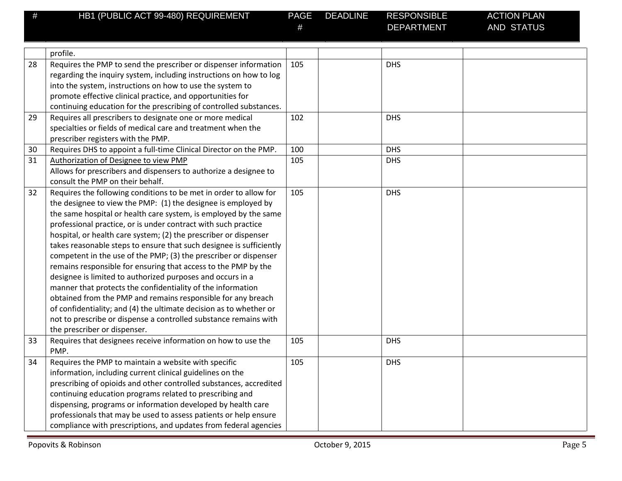| # | HB1 (PUBLIC ACT 99-480) REQUIREMENT | PAGE |
|---|-------------------------------------|------|

DEPARTMENT

|    | profile.                                                            |     |            |  |
|----|---------------------------------------------------------------------|-----|------------|--|
| 28 | Requires the PMP to send the prescriber or dispenser information    | 105 | <b>DHS</b> |  |
|    | regarding the inquiry system, including instructions on how to log  |     |            |  |
|    | into the system, instructions on how to use the system to           |     |            |  |
|    | promote effective clinical practice, and opportunities for          |     |            |  |
|    | continuing education for the prescribing of controlled substances.  |     |            |  |
| 29 | Requires all prescribers to designate one or more medical           | 102 | <b>DHS</b> |  |
|    | specialties or fields of medical care and treatment when the        |     |            |  |
|    | prescriber registers with the PMP.                                  |     |            |  |
| 30 | Requires DHS to appoint a full-time Clinical Director on the PMP.   | 100 | <b>DHS</b> |  |
| 31 | Authorization of Designee to view PMP                               | 105 | <b>DHS</b> |  |
|    | Allows for prescribers and dispensers to authorize a designee to    |     |            |  |
|    | consult the PMP on their behalf.                                    |     |            |  |
| 32 | Requires the following conditions to be met in order to allow for   | 105 | <b>DHS</b> |  |
|    | the designee to view the PMP: (1) the designee is employed by       |     |            |  |
|    | the same hospital or health care system, is employed by the same    |     |            |  |
|    | professional practice, or is under contract with such practice      |     |            |  |
|    | hospital, or health care system; (2) the prescriber or dispenser    |     |            |  |
|    | takes reasonable steps to ensure that such designee is sufficiently |     |            |  |
|    | competent in the use of the PMP; (3) the prescriber or dispenser    |     |            |  |
|    | remains responsible for ensuring that access to the PMP by the      |     |            |  |
|    | designee is limited to authorized purposes and occurs in a          |     |            |  |
|    | manner that protects the confidentiality of the information         |     |            |  |
|    | obtained from the PMP and remains responsible for any breach        |     |            |  |
|    | of confidentiality; and (4) the ultimate decision as to whether or  |     |            |  |
|    | not to prescribe or dispense a controlled substance remains with    |     |            |  |
|    | the prescriber or dispenser.                                        |     |            |  |
| 33 | Requires that designees receive information on how to use the       | 105 | <b>DHS</b> |  |
|    | PMP.                                                                |     |            |  |
| 34 | Requires the PMP to maintain a website with specific                | 105 | <b>DHS</b> |  |
|    | information, including current clinical guidelines on the           |     |            |  |
|    | prescribing of opioids and other controlled substances, accredited  |     |            |  |
|    | continuing education programs related to prescribing and            |     |            |  |
|    | dispensing, programs or information developed by health care        |     |            |  |
|    | professionals that may be used to assess patients or help ensure    |     |            |  |
|    | compliance with prescriptions, and updates from federal agencies    |     |            |  |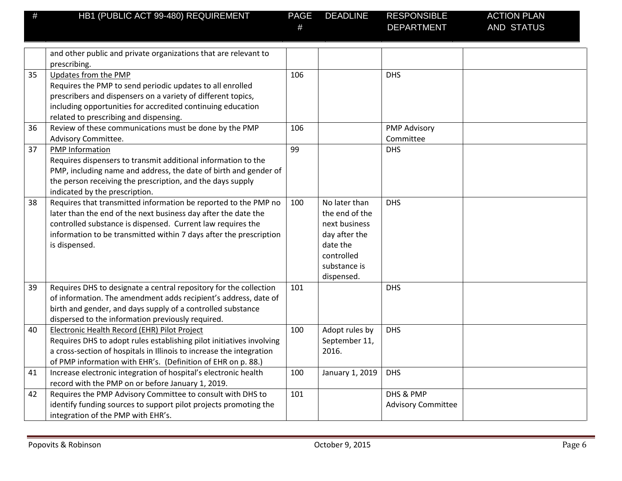DEPARTMENT

|    | and other public and private organizations that are relevant to<br>prescribing.                                                                                                                                                                                                         |     |                                                                                                                           |                                        |  |
|----|-----------------------------------------------------------------------------------------------------------------------------------------------------------------------------------------------------------------------------------------------------------------------------------------|-----|---------------------------------------------------------------------------------------------------------------------------|----------------------------------------|--|
| 35 | Updates from the PMP<br>Requires the PMP to send periodic updates to all enrolled<br>prescribers and dispensers on a variety of different topics,<br>including opportunities for accredited continuing education<br>related to prescribing and dispensing.                              | 106 |                                                                                                                           | <b>DHS</b>                             |  |
| 36 | Review of these communications must be done by the PMP<br>Advisory Committee.                                                                                                                                                                                                           | 106 |                                                                                                                           | <b>PMP Advisory</b><br>Committee       |  |
| 37 | PMP Information<br>Requires dispensers to transmit additional information to the<br>PMP, including name and address, the date of birth and gender of<br>the person receiving the prescription, and the days supply<br>indicated by the prescription.                                    | 99  |                                                                                                                           | <b>DHS</b>                             |  |
| 38 | Requires that transmitted information be reported to the PMP no<br>later than the end of the next business day after the date the<br>controlled substance is dispensed. Current law requires the<br>information to be transmitted within 7 days after the prescription<br>is dispensed. | 100 | No later than<br>the end of the<br>next business<br>day after the<br>date the<br>controlled<br>substance is<br>dispensed. | <b>DHS</b>                             |  |
| 39 | Requires DHS to designate a central repository for the collection<br>of information. The amendment adds recipient's address, date of<br>birth and gender, and days supply of a controlled substance<br>dispersed to the information previously required.                                | 101 |                                                                                                                           | <b>DHS</b>                             |  |
| 40 | Electronic Health Record (EHR) Pilot Project<br>Requires DHS to adopt rules establishing pilot initiatives involving<br>a cross-section of hospitals in Illinois to increase the integration<br>of PMP information with EHR's. (Definition of EHR on p. 88.)                            | 100 | Adopt rules by<br>September 11,<br>2016.                                                                                  | <b>DHS</b>                             |  |
| 41 | Increase electronic integration of hospital's electronic health<br>record with the PMP on or before January 1, 2019.                                                                                                                                                                    | 100 | January 1, 2019                                                                                                           | <b>DHS</b>                             |  |
| 42 | Requires the PMP Advisory Committee to consult with DHS to<br>identify funding sources to support pilot projects promoting the<br>integration of the PMP with EHR's.                                                                                                                    | 101 |                                                                                                                           | DHS & PMP<br><b>Advisory Committee</b> |  |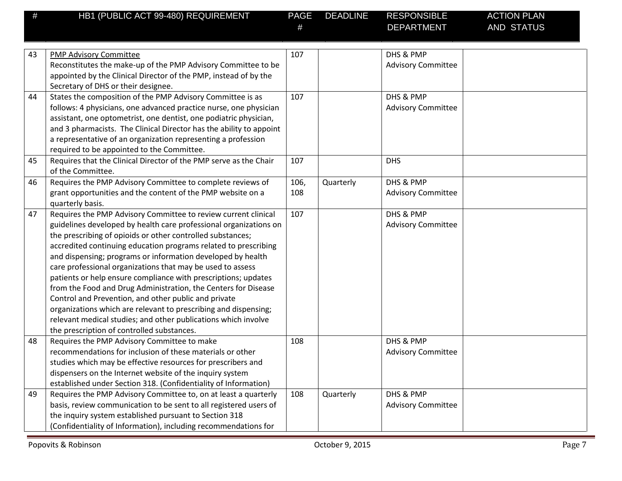| HB1 (PUBLIC ACT 99-480) REQUIREMENT | <b>PAGE</b> | <b>DEADLINE</b> | RESPONSIBLE | <b>ACTION PLAN</b> |
|-------------------------------------|-------------|-----------------|-------------|--------------------|
|                                     |             |                 | DEPARTMENT  | AND STATUS         |

| 43 | <b>PMP Advisory Committee</b>                                       | 107  |           | DHS & PMP                 |  |
|----|---------------------------------------------------------------------|------|-----------|---------------------------|--|
|    | Reconstitutes the make-up of the PMP Advisory Committee to be       |      |           | <b>Advisory Committee</b> |  |
|    | appointed by the Clinical Director of the PMP, instead of by the    |      |           |                           |  |
|    | Secretary of DHS or their designee.                                 |      |           |                           |  |
| 44 | States the composition of the PMP Advisory Committee is as          | 107  |           | DHS & PMP                 |  |
|    | follows: 4 physicians, one advanced practice nurse, one physician   |      |           | <b>Advisory Committee</b> |  |
|    | assistant, one optometrist, one dentist, one podiatric physician,   |      |           |                           |  |
|    | and 3 pharmacists. The Clinical Director has the ability to appoint |      |           |                           |  |
|    | a representative of an organization representing a profession       |      |           |                           |  |
|    | required to be appointed to the Committee.                          |      |           |                           |  |
| 45 | Requires that the Clinical Director of the PMP serve as the Chair   | 107  |           | <b>DHS</b>                |  |
|    | of the Committee.                                                   |      |           |                           |  |
| 46 | Requires the PMP Advisory Committee to complete reviews of          | 106, | Quarterly | DHS & PMP                 |  |
|    | grant opportunities and the content of the PMP website on a         | 108  |           | <b>Advisory Committee</b> |  |
|    | quarterly basis.                                                    |      |           |                           |  |
| 47 | Requires the PMP Advisory Committee to review current clinical      | 107  |           | DHS & PMP                 |  |
|    | guidelines developed by health care professional organizations on   |      |           | <b>Advisory Committee</b> |  |
|    | the prescribing of opioids or other controlled substances;          |      |           |                           |  |
|    | accredited continuing education programs related to prescribing     |      |           |                           |  |
|    | and dispensing; programs or information developed by health         |      |           |                           |  |
|    | care professional organizations that may be used to assess          |      |           |                           |  |
|    | patients or help ensure compliance with prescriptions; updates      |      |           |                           |  |
|    | from the Food and Drug Administration, the Centers for Disease      |      |           |                           |  |
|    | Control and Prevention, and other public and private                |      |           |                           |  |
|    | organizations which are relevant to prescribing and dispensing;     |      |           |                           |  |
|    | relevant medical studies; and other publications which involve      |      |           |                           |  |
|    | the prescription of controlled substances.                          |      |           |                           |  |
| 48 | Requires the PMP Advisory Committee to make                         | 108  |           | DHS & PMP                 |  |
|    | recommendations for inclusion of these materials or other           |      |           | <b>Advisory Committee</b> |  |
|    | studies which may be effective resources for prescribers and        |      |           |                           |  |
|    | dispensers on the Internet website of the inquiry system            |      |           |                           |  |
|    | established under Section 318. (Confidentiality of Information)     |      |           |                           |  |
| 49 | Requires the PMP Advisory Committee to, on at least a quarterly     | 108  | Quarterly | DHS & PMP                 |  |
|    | basis, review communication to be sent to all registered users of   |      |           | <b>Advisory Committee</b> |  |
|    | the inquiry system established pursuant to Section 318              |      |           |                           |  |
|    | (Confidentiality of Information), including recommendations for     |      |           |                           |  |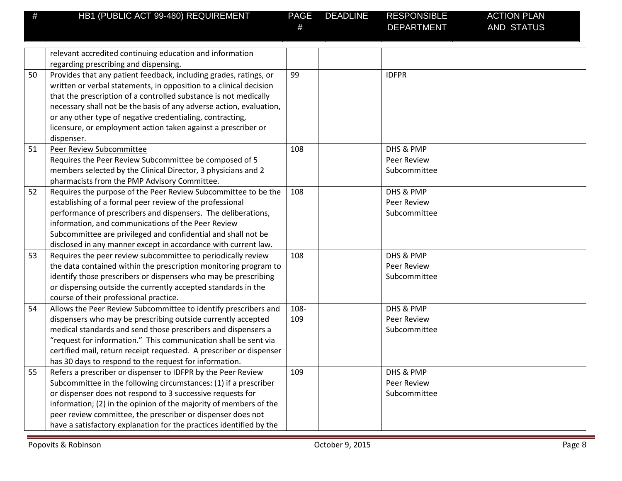DEPARTMENT

|    | relevant accredited continuing education and information            |      |                    |  |
|----|---------------------------------------------------------------------|------|--------------------|--|
|    | regarding prescribing and dispensing.                               |      |                    |  |
| 50 | Provides that any patient feedback, including grades, ratings, or   | 99   | <b>IDFPR</b>       |  |
|    | written or verbal statements, in opposition to a clinical decision  |      |                    |  |
|    | that the prescription of a controlled substance is not medically    |      |                    |  |
|    | necessary shall not be the basis of any adverse action, evaluation, |      |                    |  |
|    | or any other type of negative credentialing, contracting,           |      |                    |  |
|    | licensure, or employment action taken against a prescriber or       |      |                    |  |
|    | dispenser.                                                          |      |                    |  |
| 51 | Peer Review Subcommittee                                            | 108  | DHS & PMP          |  |
|    | Requires the Peer Review Subcommittee be composed of 5              |      | <b>Peer Review</b> |  |
|    | members selected by the Clinical Director, 3 physicians and 2       |      | Subcommittee       |  |
|    | pharmacists from the PMP Advisory Committee.                        |      |                    |  |
| 52 | Requires the purpose of the Peer Review Subcommittee to be the      | 108  | DHS & PMP          |  |
|    | establishing of a formal peer review of the professional            |      | Peer Review        |  |
|    | performance of prescribers and dispensers. The deliberations,       |      | Subcommittee       |  |
|    | information, and communications of the Peer Review                  |      |                    |  |
|    | Subcommittee are privileged and confidential and shall not be       |      |                    |  |
|    | disclosed in any manner except in accordance with current law.      |      |                    |  |
| 53 | Requires the peer review subcommittee to periodically review        | 108  | DHS & PMP          |  |
|    | the data contained within the prescription monitoring program to    |      | Peer Review        |  |
|    | identify those prescribers or dispensers who may be prescribing     |      | Subcommittee       |  |
|    | or dispensing outside the currently accepted standards in the       |      |                    |  |
|    | course of their professional practice.                              |      |                    |  |
| 54 | Allows the Peer Review Subcommittee to identify prescribers and     | 108- | DHS & PMP          |  |
|    | dispensers who may be prescribing outside currently accepted        | 109  | Peer Review        |  |
|    | medical standards and send those prescribers and dispensers a       |      | Subcommittee       |  |
|    | "request for information." This communication shall be sent via     |      |                    |  |
|    | certified mail, return receipt requested. A prescriber or dispenser |      |                    |  |
|    | has 30 days to respond to the request for information.              |      |                    |  |
| 55 | Refers a prescriber or dispenser to IDFPR by the Peer Review        | 109  | DHS & PMP          |  |
|    | Subcommittee in the following circumstances: (1) if a prescriber    |      | Peer Review        |  |
|    | or dispenser does not respond to 3 successive requests for          |      | Subcommittee       |  |
|    | information; (2) in the opinion of the majority of members of the   |      |                    |  |
|    | peer review committee, the prescriber or dispenser does not         |      |                    |  |
|    | have a satisfactory explanation for the practices identified by the |      |                    |  |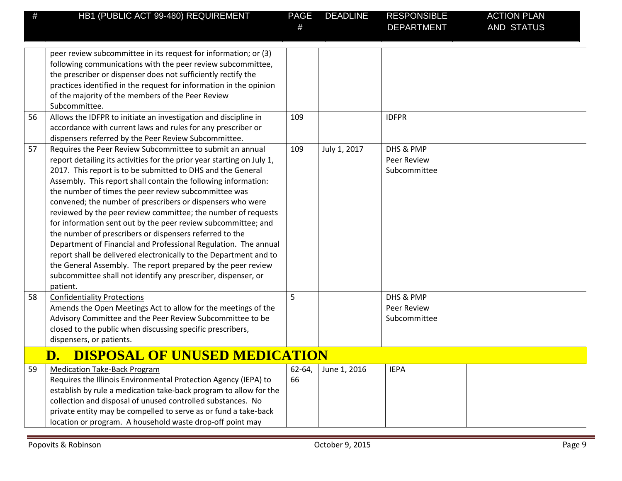| #  | HB1 (PUBLIC ACT 99-480) REQUIREMENT                                                                                                                                                                                                                                                                                                                                                                                                                                                                                                                                                                                                                                                                                                                                                                                                                                          | <b>PAGE</b><br># | <b>DEADLINE</b> | <b>RESPONSIBLE</b><br><b>DEPARTMENT</b>         | <b>ACTION PLAN</b><br><b>AND STATUS</b> |
|----|------------------------------------------------------------------------------------------------------------------------------------------------------------------------------------------------------------------------------------------------------------------------------------------------------------------------------------------------------------------------------------------------------------------------------------------------------------------------------------------------------------------------------------------------------------------------------------------------------------------------------------------------------------------------------------------------------------------------------------------------------------------------------------------------------------------------------------------------------------------------------|------------------|-----------------|-------------------------------------------------|-----------------------------------------|
|    | peer review subcommittee in its request for information; or (3)<br>following communications with the peer review subcommittee,<br>the prescriber or dispenser does not sufficiently rectify the<br>practices identified in the request for information in the opinion<br>of the majority of the members of the Peer Review<br>Subcommittee.                                                                                                                                                                                                                                                                                                                                                                                                                                                                                                                                  |                  |                 |                                                 |                                         |
| 56 | Allows the IDFPR to initiate an investigation and discipline in<br>accordance with current laws and rules for any prescriber or<br>dispensers referred by the Peer Review Subcommittee.                                                                                                                                                                                                                                                                                                                                                                                                                                                                                                                                                                                                                                                                                      | 109              |                 | <b>IDFPR</b>                                    |                                         |
| 57 | Requires the Peer Review Subcommittee to submit an annual<br>report detailing its activities for the prior year starting on July 1,<br>2017. This report is to be submitted to DHS and the General<br>Assembly. This report shall contain the following information:<br>the number of times the peer review subcommittee was<br>convened; the number of prescribers or dispensers who were<br>reviewed by the peer review committee; the number of requests<br>for information sent out by the peer review subcommittee; and<br>the number of prescribers or dispensers referred to the<br>Department of Financial and Professional Regulation. The annual<br>report shall be delivered electronically to the Department and to<br>the General Assembly. The report prepared by the peer review<br>subcommittee shall not identify any prescriber, dispenser, or<br>patient. | 109              | July 1, 2017    | DHS & PMP<br><b>Peer Review</b><br>Subcommittee |                                         |
| 58 | <b>Confidentiality Protections</b><br>Amends the Open Meetings Act to allow for the meetings of the<br>Advisory Committee and the Peer Review Subcommittee to be<br>closed to the public when discussing specific prescribers,<br>dispensers, or patients.                                                                                                                                                                                                                                                                                                                                                                                                                                                                                                                                                                                                                   | 5                |                 | DHS & PMP<br><b>Peer Review</b><br>Subcommittee |                                         |
|    | <b>DISPOSAL OF UNUSED MEDICATION</b><br>D.                                                                                                                                                                                                                                                                                                                                                                                                                                                                                                                                                                                                                                                                                                                                                                                                                                   |                  |                 |                                                 |                                         |
| 59 | <b>Medication Take-Back Program</b><br>Requires the Illinois Environmental Protection Agency (IEPA) to<br>establish by rule a medication take-back program to allow for the<br>collection and disposal of unused controlled substances. No<br>private entity may be compelled to serve as or fund a take-back<br>location or program. A household waste drop-off point may                                                                                                                                                                                                                                                                                                                                                                                                                                                                                                   | 62-64,<br>66     | June 1, 2016    | <b>IEPA</b>                                     |                                         |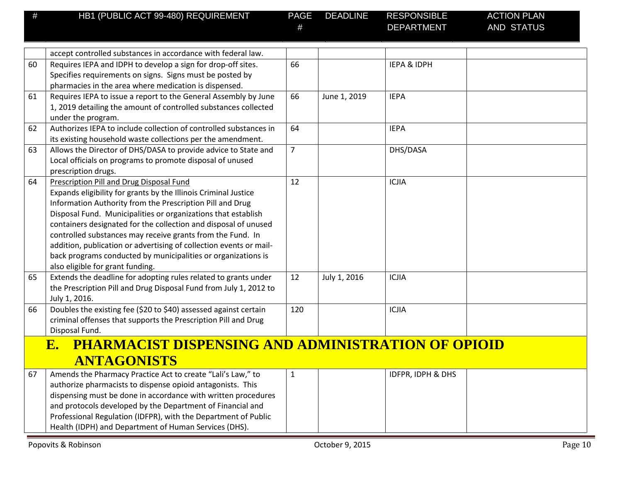| # | HB1 (PUBLIC ACT 99-480) REQUIREMENT | PAGE |
|---|-------------------------------------|------|

|    | accept controlled substances in accordance with federal law.                                                                     |                |              |                        |  |
|----|----------------------------------------------------------------------------------------------------------------------------------|----------------|--------------|------------------------|--|
| 60 | Requires IEPA and IDPH to develop a sign for drop-off sites.                                                                     | 66             |              | <b>IEPA &amp; IDPH</b> |  |
|    | Specifies requirements on signs. Signs must be posted by                                                                         |                |              |                        |  |
|    | pharmacies in the area where medication is dispensed.                                                                            |                |              |                        |  |
| 61 | Requires IEPA to issue a report to the General Assembly by June                                                                  | 66             | June 1, 2019 | <b>IEPA</b>            |  |
|    | 1, 2019 detailing the amount of controlled substances collected                                                                  |                |              |                        |  |
|    | under the program.                                                                                                               |                |              |                        |  |
| 62 | Authorizes IEPA to include collection of controlled substances in                                                                | 64             |              | <b>IEPA</b>            |  |
|    | its existing household waste collections per the amendment.                                                                      |                |              |                        |  |
| 63 | Allows the Director of DHS/DASA to provide advice to State and                                                                   | $\overline{7}$ |              | DHS/DASA               |  |
|    | Local officials on programs to promote disposal of unused                                                                        |                |              |                        |  |
|    | prescription drugs.                                                                                                              |                |              |                        |  |
| 64 | Prescription Pill and Drug Disposal Fund                                                                                         | 12             |              | <b>ICJIA</b>           |  |
|    | Expands eligibility for grants by the Illinois Criminal Justice                                                                  |                |              |                        |  |
|    | Information Authority from the Prescription Pill and Drug                                                                        |                |              |                        |  |
|    | Disposal Fund. Municipalities or organizations that establish<br>containers designated for the collection and disposal of unused |                |              |                        |  |
|    | controlled substances may receive grants from the Fund. In                                                                       |                |              |                        |  |
|    | addition, publication or advertising of collection events or mail-                                                               |                |              |                        |  |
|    | back programs conducted by municipalities or organizations is                                                                    |                |              |                        |  |
|    | also eligible for grant funding.                                                                                                 |                |              |                        |  |
| 65 | Extends the deadline for adopting rules related to grants under                                                                  | 12             | July 1, 2016 | <b>ICJIA</b>           |  |
|    | the Prescription Pill and Drug Disposal Fund from July 1, 2012 to                                                                |                |              |                        |  |
|    | July 1, 2016.                                                                                                                    |                |              |                        |  |
| 66 | Doubles the existing fee (\$20 to \$40) assessed against certain                                                                 | 120            |              | <b>ICJIA</b>           |  |
|    | criminal offenses that supports the Prescription Pill and Drug                                                                   |                |              |                        |  |
|    | Disposal Fund.                                                                                                                   |                |              |                        |  |
|    | <b>PHARMACIST DISPENSING AND ADMINISTRATION OF OPIOID</b><br>$E_{\bullet}$                                                       |                |              |                        |  |
|    | <b>ANTAGONISTS</b>                                                                                                               |                |              |                        |  |
| 67 | Amends the Pharmacy Practice Act to create "Lali's Law," to                                                                      | $\mathbf 1$    |              | IDFPR, IDPH & DHS      |  |
|    | authorize pharmacists to dispense opioid antagonists. This                                                                       |                |              |                        |  |
|    | dispensing must be done in accordance with written procedures                                                                    |                |              |                        |  |
|    | and protocols developed by the Department of Financial and                                                                       |                |              |                        |  |
|    | Professional Regulation (IDFPR), with the Department of Public                                                                   |                |              |                        |  |
|    | Health (IDPH) and Department of Human Services (DHS).                                                                            |                |              |                        |  |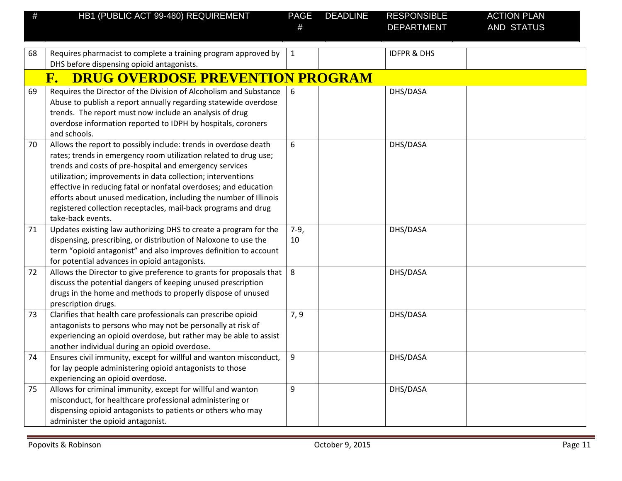| #  | HB1 (PUBLIC ACT 99-480) REQUIREMENT                                                                                                                                                                                                                                                                                                                                                                                                                                                           | PAGE         | <b>DEADLINE</b> | <b>RESPONSIBLE</b><br><b>DEPARTMENT</b> | <b>ACTION PLAN</b><br><b>AND STATUS</b> |
|----|-----------------------------------------------------------------------------------------------------------------------------------------------------------------------------------------------------------------------------------------------------------------------------------------------------------------------------------------------------------------------------------------------------------------------------------------------------------------------------------------------|--------------|-----------------|-----------------------------------------|-----------------------------------------|
|    |                                                                                                                                                                                                                                                                                                                                                                                                                                                                                               |              |                 |                                         |                                         |
| 68 | Requires pharmacist to complete a training program approved by                                                                                                                                                                                                                                                                                                                                                                                                                                | $\mathbf{1}$ |                 | <b>IDFPR &amp; DHS</b>                  |                                         |
|    | DHS before dispensing opioid antagonists.                                                                                                                                                                                                                                                                                                                                                                                                                                                     |              |                 |                                         |                                         |
|    | <b>DRUG OVERDOSE PREVENTION PROGRAM</b><br>${\bf F}$ .                                                                                                                                                                                                                                                                                                                                                                                                                                        |              |                 |                                         |                                         |
| 69 | Requires the Director of the Division of Alcoholism and Substance<br>Abuse to publish a report annually regarding statewide overdose<br>trends. The report must now include an analysis of drug<br>overdose information reported to IDPH by hospitals, coroners<br>and schools.                                                                                                                                                                                                               | 6            |                 | DHS/DASA                                |                                         |
| 70 | Allows the report to possibly include: trends in overdose death<br>rates; trends in emergency room utilization related to drug use;<br>trends and costs of pre-hospital and emergency services<br>utilization; improvements in data collection; interventions<br>effective in reducing fatal or nonfatal overdoses; and education<br>efforts about unused medication, including the number of Illinois<br>registered collection receptacles, mail-back programs and drug<br>take-back events. | 6            |                 | DHS/DASA                                |                                         |
| 71 | Updates existing law authorizing DHS to create a program for the<br>dispensing, prescribing, or distribution of Naloxone to use the<br>term "opioid antagonist" and also improves definition to account<br>for potential advances in opioid antagonists.                                                                                                                                                                                                                                      | $7-9,$<br>10 |                 | DHS/DASA                                |                                         |
| 72 | Allows the Director to give preference to grants for proposals that<br>discuss the potential dangers of keeping unused prescription<br>drugs in the home and methods to properly dispose of unused<br>prescription drugs.                                                                                                                                                                                                                                                                     | 8            |                 | DHS/DASA                                |                                         |
| 73 | Clarifies that health care professionals can prescribe opioid<br>antagonists to persons who may not be personally at risk of<br>experiencing an opioid overdose, but rather may be able to assist<br>another individual during an opioid overdose.                                                                                                                                                                                                                                            | 7, 9         |                 | DHS/DASA                                |                                         |
| 74 | Ensures civil immunity, except for willful and wanton misconduct,<br>for lay people administering opioid antagonists to those<br>experiencing an opioid overdose.                                                                                                                                                                                                                                                                                                                             | 9            |                 | DHS/DASA                                |                                         |
| 75 | Allows for criminal immunity, except for willful and wanton<br>misconduct, for healthcare professional administering or<br>dispensing opioid antagonists to patients or others who may<br>administer the opioid antagonist.                                                                                                                                                                                                                                                                   | 9            |                 | DHS/DASA                                |                                         |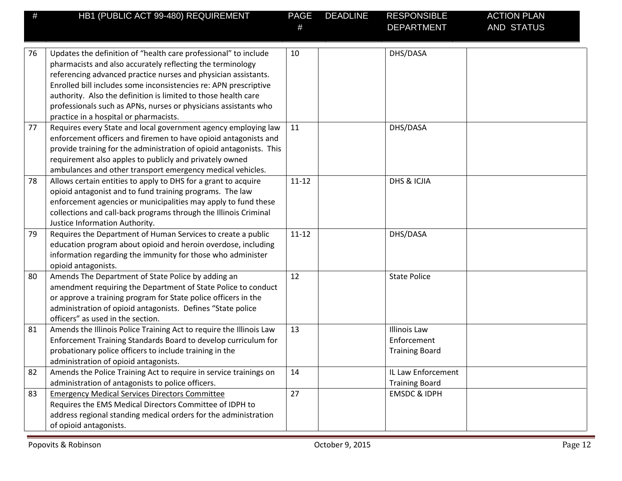| #  | HB1 (PUBLIC ACT 99-480) REQUIREMENT                                                                                                                                                                                                                                                                                                                                                                                                                | <b>PAGE</b> | <b>DEADLINE</b> | <b>RESPONSIBLE</b><br><b>DEPARTMENT</b>                     | <b>ACTION PLAN</b><br>AND STATUS |
|----|----------------------------------------------------------------------------------------------------------------------------------------------------------------------------------------------------------------------------------------------------------------------------------------------------------------------------------------------------------------------------------------------------------------------------------------------------|-------------|-----------------|-------------------------------------------------------------|----------------------------------|
| 76 | Updates the definition of "health care professional" to include<br>pharmacists and also accurately reflecting the terminology<br>referencing advanced practice nurses and physician assistants.<br>Enrolled bill includes some inconsistencies re: APN prescriptive<br>authority. Also the definition is limited to those health care<br>professionals such as APNs, nurses or physicians assistants who<br>practice in a hospital or pharmacists. | 10          |                 | DHS/DASA                                                    |                                  |
| 77 | Requires every State and local government agency employing law<br>enforcement officers and firemen to have opioid antagonists and<br>provide training for the administration of opioid antagonists. This<br>requirement also apples to publicly and privately owned<br>ambulances and other transport emergency medical vehicles.                                                                                                                  | 11          |                 | DHS/DASA                                                    |                                  |
| 78 | Allows certain entities to apply to DHS for a grant to acquire<br>opioid antagonist and to fund training programs. The law<br>enforcement agencies or municipalities may apply to fund these<br>collections and call-back programs through the Illinois Criminal<br>Justice Information Authority.                                                                                                                                                 | $11 - 12$   |                 | DHS & ICJIA                                                 |                                  |
| 79 | Requires the Department of Human Services to create a public<br>education program about opioid and heroin overdose, including<br>information regarding the immunity for those who administer<br>opioid antagonists.                                                                                                                                                                                                                                | $11 - 12$   |                 | DHS/DASA                                                    |                                  |
| 80 | Amends The Department of State Police by adding an<br>amendment requiring the Department of State Police to conduct<br>or approve a training program for State police officers in the<br>administration of opioid antagonists. Defines "State police<br>officers" as used in the section.                                                                                                                                                          | 12          |                 | <b>State Police</b>                                         |                                  |
| 81 | Amends the Illinois Police Training Act to require the Illinois Law<br>Enforcement Training Standards Board to develop curriculum for<br>probationary police officers to include training in the<br>administration of opioid antagonists.                                                                                                                                                                                                          | 13          |                 | <b>Illinois Law</b><br>Enforcement<br><b>Training Board</b> |                                  |
| 82 | Amends the Police Training Act to require in service trainings on<br>administration of antagonists to police officers.                                                                                                                                                                                                                                                                                                                             | 14          |                 | IL Law Enforcement<br><b>Training Board</b>                 |                                  |
| 83 | <b>Emergency Medical Services Directors Committee</b><br>Requires the EMS Medical Directors Committee of IDPH to<br>address regional standing medical orders for the administration<br>of opioid antagonists.                                                                                                                                                                                                                                      | 27          |                 | <b>EMSDC &amp; IDPH</b>                                     |                                  |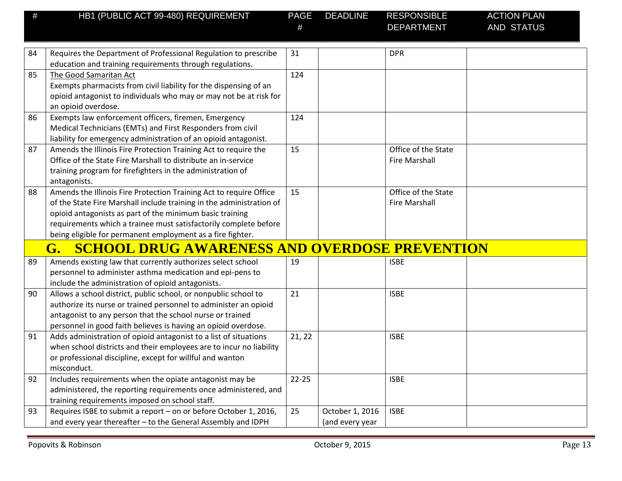| #  | HB1 (PUBLIC ACT 99-480) REQUIREMENT                                                                                                | PAGE      | <b>DEADLINE</b> | <b>RESPONSIBLE</b>   | <b>ACTION PLAN</b> |
|----|------------------------------------------------------------------------------------------------------------------------------------|-----------|-----------------|----------------------|--------------------|
|    |                                                                                                                                    |           |                 | <b>DEPARTMENT</b>    | <b>AND STATUS</b>  |
|    |                                                                                                                                    |           |                 |                      |                    |
| 84 | Requires the Department of Professional Regulation to prescribe                                                                    | 31        |                 | <b>DPR</b>           |                    |
|    | education and training requirements through regulations.                                                                           |           |                 |                      |                    |
| 85 | The Good Samaritan Act                                                                                                             | 124       |                 |                      |                    |
|    | Exempts pharmacists from civil liability for the dispensing of an                                                                  |           |                 |                      |                    |
|    | opioid antagonist to individuals who may or may not be at risk for                                                                 |           |                 |                      |                    |
|    | an opioid overdose.                                                                                                                |           |                 |                      |                    |
| 86 | Exempts law enforcement officers, firemen, Emergency                                                                               | 124       |                 |                      |                    |
|    | Medical Technicians (EMTs) and First Responders from civil                                                                         |           |                 |                      |                    |
| 87 | liability for emergency administration of an opioid antagonist.<br>Amends the Illinois Fire Protection Training Act to require the | 15        |                 | Office of the State  |                    |
|    | Office of the State Fire Marshall to distribute an in-service                                                                      |           |                 | <b>Fire Marshall</b> |                    |
|    | training program for firefighters in the administration of                                                                         |           |                 |                      |                    |
|    | antagonists.                                                                                                                       |           |                 |                      |                    |
| 88 | Amends the Illinois Fire Protection Training Act to require Office                                                                 | 15        |                 | Office of the State  |                    |
|    | of the State Fire Marshall include training in the administration of                                                               |           |                 | <b>Fire Marshall</b> |                    |
|    | opioid antagonists as part of the minimum basic training                                                                           |           |                 |                      |                    |
|    | requirements which a trainee must satisfactorily complete before                                                                   |           |                 |                      |                    |
|    | being eligible for permanent employment as a fire fighter.                                                                         |           |                 |                      |                    |
|    | <b>SCHOOL DRUG AWARENESS AND OVERDOSE PREVENTION</b><br>G.                                                                         |           |                 |                      |                    |
| 89 | Amends existing law that currently authorizes select school                                                                        | 19        |                 | <b>ISBE</b>          |                    |
|    | personnel to administer asthma medication and epi-pens to                                                                          |           |                 |                      |                    |
|    | include the administration of opioid antagonists.                                                                                  |           |                 |                      |                    |
| 90 | Allows a school district, public school, or nonpublic school to                                                                    | 21        |                 | <b>ISBE</b>          |                    |
|    | authorize its nurse or trained personnel to administer an opioid                                                                   |           |                 |                      |                    |
|    | antagonist to any person that the school nurse or trained                                                                          |           |                 |                      |                    |
|    | personnel in good faith believes is having an opioid overdose.                                                                     |           |                 |                      |                    |
| 91 | Adds administration of opioid antagonist to a list of situations                                                                   | 21, 22    |                 | <b>ISBE</b>          |                    |
|    | when school districts and their employees are to incur no liability                                                                |           |                 |                      |                    |
|    | or professional discipline, except for willful and wanton                                                                          |           |                 |                      |                    |
|    | misconduct.                                                                                                                        |           |                 |                      |                    |
| 92 | Includes requirements when the opiate antagonist may be                                                                            | $22 - 25$ |                 | <b>ISBE</b>          |                    |
|    | administered, the reporting requirements once administered, and                                                                    |           |                 |                      |                    |
|    | training requirements imposed on school staff.                                                                                     |           |                 |                      |                    |
| 93 | Requires ISBE to submit a report - on or before October 1, 2016,                                                                   | 25        | October 1, 2016 | <b>ISBE</b>          |                    |
|    | and every year thereafter - to the General Assembly and IDPH                                                                       |           | (and every year |                      |                    |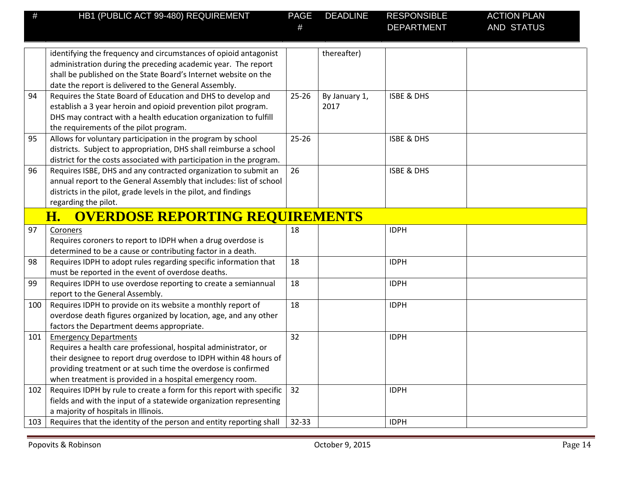| #   | HB1 (PUBLIC ACT 99-480) REQUIREMENT                                                                                                                                                                                                                                                               | <b>PAGE</b> | <b>DEADLINE</b>       | <b>RESPONSIBLE</b><br><b>DEPARTMENT</b> | <b>ACTION PLAN</b><br>AND STATUS |
|-----|---------------------------------------------------------------------------------------------------------------------------------------------------------------------------------------------------------------------------------------------------------------------------------------------------|-------------|-----------------------|-----------------------------------------|----------------------------------|
|     | identifying the frequency and circumstances of opioid antagonist<br>administration during the preceding academic year. The report<br>shall be published on the State Board's Internet website on the<br>date the report is delivered to the General Assembly.                                     |             | thereafter)           |                                         |                                  |
| 94  | Requires the State Board of Education and DHS to develop and<br>establish a 3 year heroin and opioid prevention pilot program.<br>DHS may contract with a health education organization to fulfill<br>the requirements of the pilot program.                                                      | $25 - 26$   | By January 1,<br>2017 | <b>ISBE &amp; DHS</b>                   |                                  |
| 95  | Allows for voluntary participation in the program by school<br>districts. Subject to appropriation, DHS shall reimburse a school<br>district for the costs associated with participation in the program.                                                                                          | $25 - 26$   |                       | <b>ISBE &amp; DHS</b>                   |                                  |
| 96  | Requires ISBE, DHS and any contracted organization to submit an<br>annual report to the General Assembly that includes: list of school<br>districts in the pilot, grade levels in the pilot, and findings<br>regarding the pilot.                                                                 | 26          |                       | <b>ISBE &amp; DHS</b>                   |                                  |
|     | <b>OVERDOSE REPORTING REQUIREMENTS</b><br><u>H.</u>                                                                                                                                                                                                                                               |             |                       |                                         |                                  |
| 97  | Coroners<br>Requires coroners to report to IDPH when a drug overdose is<br>determined to be a cause or contributing factor in a death.                                                                                                                                                            | 18          |                       | <b>IDPH</b>                             |                                  |
| 98  | Requires IDPH to adopt rules regarding specific information that<br>must be reported in the event of overdose deaths.                                                                                                                                                                             | 18          |                       | <b>IDPH</b>                             |                                  |
| 99  | Requires IDPH to use overdose reporting to create a semiannual<br>report to the General Assembly.                                                                                                                                                                                                 | 18          |                       | <b>IDPH</b>                             |                                  |
| 100 | Requires IDPH to provide on its website a monthly report of<br>overdose death figures organized by location, age, and any other<br>factors the Department deems appropriate.                                                                                                                      | 18          |                       | <b>IDPH</b>                             |                                  |
| 101 | <b>Emergency Departments</b><br>Requires a health care professional, hospital administrator, or<br>their designee to report drug overdose to IDPH within 48 hours of<br>providing treatment or at such time the overdose is confirmed<br>when treatment is provided in a hospital emergency room. | 32          |                       | <b>IDPH</b>                             |                                  |
| 102 | Requires IDPH by rule to create a form for this report with specific<br>fields and with the input of a statewide organization representing<br>a majority of hospitals in Illinois.                                                                                                                | 32          |                       | <b>IDPH</b>                             |                                  |
| 103 | Requires that the identity of the person and entity reporting shall                                                                                                                                                                                                                               | $32 - 33$   |                       | <b>IDPH</b>                             |                                  |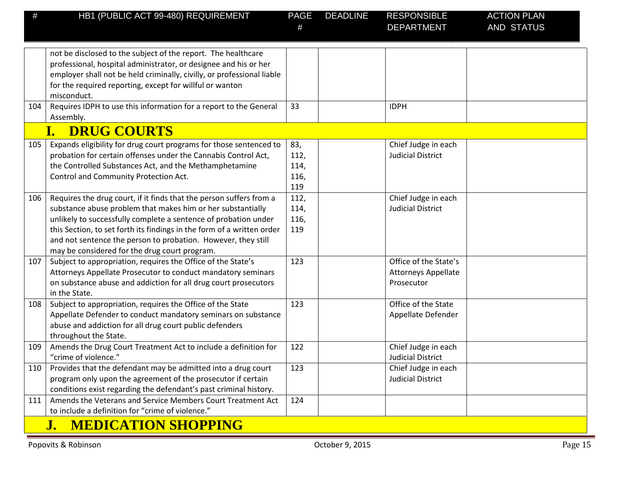| #   | HB1 (PUBLIC ACT 99-480) REQUIREMENT                                                                                                                                                                                                                                                                                                                                                               | <b>PAGE</b>                        | <b>DEADLINE</b> | <b>RESPONSIBLE</b>                                                | <b>ACTION PLAN</b> |  |  |
|-----|---------------------------------------------------------------------------------------------------------------------------------------------------------------------------------------------------------------------------------------------------------------------------------------------------------------------------------------------------------------------------------------------------|------------------------------------|-----------------|-------------------------------------------------------------------|--------------------|--|--|
|     |                                                                                                                                                                                                                                                                                                                                                                                                   | #                                  |                 | <b>DEPARTMENT</b>                                                 | <b>AND STATUS</b>  |  |  |
|     | not be disclosed to the subject of the report. The healthcare<br>professional, hospital administrator, or designee and his or her<br>employer shall not be held criminally, civilly, or professional liable<br>for the required reporting, except for willful or wanton<br>misconduct.                                                                                                            |                                    |                 |                                                                   |                    |  |  |
| 104 | Requires IDPH to use this information for a report to the General<br>Assembly.                                                                                                                                                                                                                                                                                                                    | 33                                 |                 | <b>IDPH</b>                                                       |                    |  |  |
|     | <b>DRUG COURTS</b><br>I.                                                                                                                                                                                                                                                                                                                                                                          |                                    |                 |                                                                   |                    |  |  |
| 105 | Expands eligibility for drug court programs for those sentenced to<br>probation for certain offenses under the Cannabis Control Act,<br>the Controlled Substances Act, and the Methamphetamine<br>Control and Community Protection Act.                                                                                                                                                           | 83,<br>112,<br>114,<br>116,<br>119 |                 | Chief Judge in each<br><b>Judicial District</b>                   |                    |  |  |
| 106 | Requires the drug court, if it finds that the person suffers from a<br>substance abuse problem that makes him or her substantially<br>unlikely to successfully complete a sentence of probation under<br>this Section, to set forth its findings in the form of a written order<br>and not sentence the person to probation. However, they still<br>may be considered for the drug court program. | 112,<br>114,<br>116,<br>119        |                 | Chief Judge in each<br><b>Judicial District</b>                   |                    |  |  |
| 107 | Subject to appropriation, requires the Office of the State's<br>Attorneys Appellate Prosecutor to conduct mandatory seminars<br>on substance abuse and addiction for all drug court prosecutors<br>in the State.                                                                                                                                                                                  | 123                                |                 | Office of the State's<br><b>Attorneys Appellate</b><br>Prosecutor |                    |  |  |
| 108 | Subject to appropriation, requires the Office of the State<br>Appellate Defender to conduct mandatory seminars on substance<br>abuse and addiction for all drug court public defenders<br>throughout the State.                                                                                                                                                                                   | 123                                |                 | Office of the State<br>Appellate Defender                         |                    |  |  |
| 109 | Amends the Drug Court Treatment Act to include a definition for<br>"crime of violence."                                                                                                                                                                                                                                                                                                           | 122                                |                 | Chief Judge in each<br><b>Judicial District</b>                   |                    |  |  |
| 110 | Provides that the defendant may be admitted into a drug court<br>program only upon the agreement of the prosecutor if certain<br>conditions exist regarding the defendant's past criminal history.                                                                                                                                                                                                | 123                                |                 | Chief Judge in each<br><b>Judicial District</b>                   |                    |  |  |
| 111 | Amends the Veterans and Service Members Court Treatment Act<br>to include a definition for "crime of violence."                                                                                                                                                                                                                                                                                   | 124                                |                 |                                                                   |                    |  |  |
|     | <b>MEDICATION SHOPPING</b><br>J.                                                                                                                                                                                                                                                                                                                                                                  |                                    |                 |                                                                   |                    |  |  |